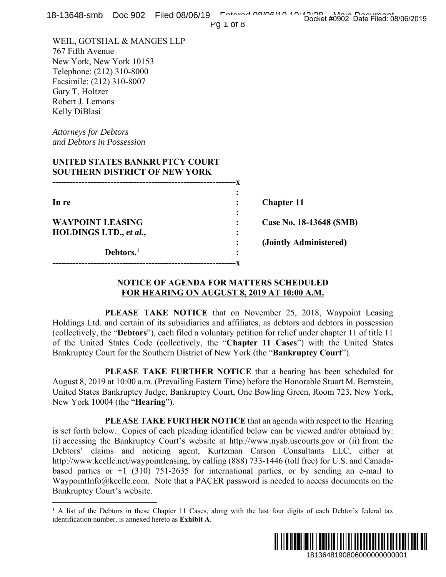| 18-13648-smb    Doc 902    Filed 08/06/19                                                                                                                                                                                                                                                                                                                                                                                                                                                                                                                                                                       | Entered 00/06/10 10:40:00 Main Decument<br>Pg 1 of 8                  |
|-----------------------------------------------------------------------------------------------------------------------------------------------------------------------------------------------------------------------------------------------------------------------------------------------------------------------------------------------------------------------------------------------------------------------------------------------------------------------------------------------------------------------------------------------------------------------------------------------------------------|-----------------------------------------------------------------------|
| WEIL, GOTSHAL & MANGES LLP<br>767 Fifth Avenue<br>New York, New York 10153<br>Telephone: (212) 310-8000<br>Facsimile: (212) 310-8007<br>Gary T. Holtzer<br>Robert J. Lemons<br>Kelly DiBlasi                                                                                                                                                                                                                                                                                                                                                                                                                    |                                                                       |
| <b>Attorneys for Debtors</b><br>and Debtors in Possession                                                                                                                                                                                                                                                                                                                                                                                                                                                                                                                                                       |                                                                       |
| UNITED STATES BANKRUPTCY COURT<br><b>SOUTHERN DISTRICT OF NEW YORK</b>                                                                                                                                                                                                                                                                                                                                                                                                                                                                                                                                          |                                                                       |
| In re                                                                                                                                                                                                                                                                                                                                                                                                                                                                                                                                                                                                           | <b>Chapter 11</b>                                                     |
| <b>WAYPOINT LEASING</b><br>HOLDINGS LTD., et al.,                                                                                                                                                                                                                                                                                                                                                                                                                                                                                                                                                               | Case No. 18-13648 (SMB)                                               |
| Debtors. <sup>1</sup>                                                                                                                                                                                                                                                                                                                                                                                                                                                                                                                                                                                           | (Jointly Administered)                                                |
| <b>NOTICE OF AGENDA FOR MATTERS SCHEDULED</b><br>FOR HEARING ON AUGUST 8, 2019 AT 10:00 A.M.                                                                                                                                                                                                                                                                                                                                                                                                                                                                                                                    |                                                                       |
| Holdings Ltd. and certain of its subsidiaries and affiliates, as debtors and debtors in possession<br>(collectively, the "Debtors"), each filed a voluntary petition for relief under chapter 11 of title 11<br>of the United States Code (collectively, the "Chapter 11 Cases") with the United States<br>Bankruptcy Court for the Southern District of New York (the "Bankruptcy Court").                                                                                                                                                                                                                     | PLEASE TAKE NOTICE that on November 25, 2018, Waypoint Leasing        |
| August 8, 2019 at 10:00 a.m. (Prevailing Eastern Time) before the Honorable Stuart M. Bernstein,<br>United States Bankruptcy Judge, Bankruptcy Court, One Bowling Green, Room 723, New York,<br>New York 10004 (the " <b>Hearing</b> ").                                                                                                                                                                                                                                                                                                                                                                        | PLEASE TAKE FURTHER NOTICE that a hearing has been scheduled for      |
| is set forth below. Copies of each pleading identified below can be viewed and/or obtained by:<br>(i) accessing the Bankruptcy Court's website at http://www.nysb.uscourts.gov or (ii) from the<br>Debtors' claims and noticing agent, Kurtzman Carson Consultants LLC, either at<br>http://www.kccllc.net/waypointleasing, by calling (888) 733-1446 (toll free) for U.S. and Canada-<br>based parties or $+1$ (310) 751-2635 for international parties, or by sending an e-mail to<br>WaypointInfo@kccllc.com. Note that a PACER password is needed to access documents on the<br>Bankruptcy Court's website. | PLEASE TAKE FURTHER NOTICE that an agenda with respect to the Hearing |
| <sup>1</sup> A list of the Debtors in these Chapter 11 Cases, along with the last four digits of each Debtor's federal tax<br>identification number, is annexed hereto as <b>Exhibit A</b> .                                                                                                                                                                                                                                                                                                                                                                                                                    |                                                                       |
|                                                                                                                                                                                                                                                                                                                                                                                                                                                                                                                                                                                                                 | 1813648190806000000000001                                             |

## **NOTICE OF AGENDA FOR MATTERS SCHEDULED FOR HEARING ON AUGUST 8, 2019 AT 10:00 A.M.**



<sup>&</sup>lt;sup>1</sup> A list of the Debtors in these Chapter 11 Cases, along with the last four digits of each Debtor's federal tax identification number, is annexed hereto as **Exhibit A**.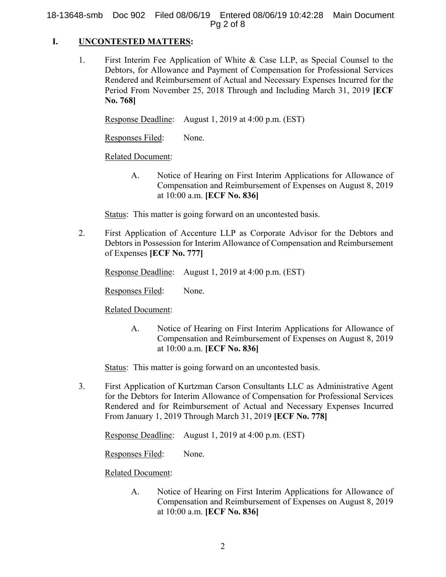18-13648-smb Doc 902 Filed 08/06/19 Entered 08/06/19 10:42:28 Main Document Pg 2 of 8

## **I. UNCONTESTED MATTERS:**

1. First Interim Fee Application of White & Case LLP, as Special Counsel to the Debtors, for Allowance and Payment of Compensation for Professional Services Rendered and Reimbursement of Actual and Necessary Expenses Incurred for the Period From November 25, 2018 Through and Including March 31, 2019 **[ECF No. 768]**

Response Deadline: August 1, 2019 at 4:00 p.m. (EST)

Responses Filed: None.

### Related Document:

A. Notice of Hearing on First Interim Applications for Allowance of Compensation and Reimbursement of Expenses on August 8, 2019 at 10:00 a.m. **[ECF No. 836]** 

Status: This matter is going forward on an uncontested basis.

2. First Application of Accenture LLP as Corporate Advisor for the Debtors and Debtors in Possession for Interim Allowance of Compensation and Reimbursement of Expenses **[ECF No. 777]**

Response Deadline: August 1, 2019 at 4:00 p.m. (EST)

Responses Filed: None.

## Related Document:

A. Notice of Hearing on First Interim Applications for Allowance of Compensation and Reimbursement of Expenses on August 8, 2019 at 10:00 a.m. **[ECF No. 836]** 

Status: This matter is going forward on an uncontested basis.

3. First Application of Kurtzman Carson Consultants LLC as Administrative Agent for the Debtors for Interim Allowance of Compensation for Professional Services Rendered and for Reimbursement of Actual and Necessary Expenses Incurred From January 1, 2019 Through March 31, 2019 **[ECF No. 778]**

Response Deadline: August 1, 2019 at 4:00 p.m. (EST)

Responses Filed: None.

Related Document:

A. Notice of Hearing on First Interim Applications for Allowance of Compensation and Reimbursement of Expenses on August 8, 2019 at 10:00 a.m. **[ECF No. 836]**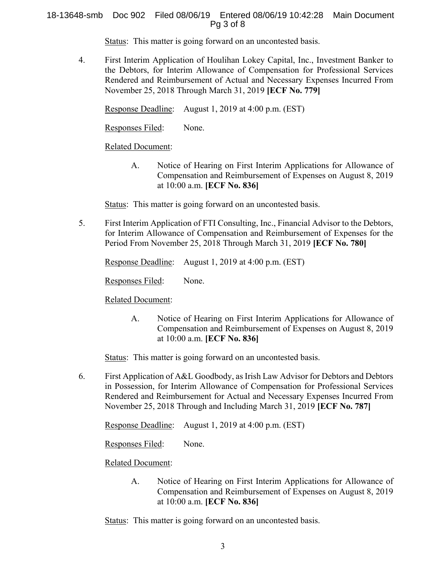## 18-13648-smb Doc 902 Filed 08/06/19 Entered 08/06/19 10:42:28 Main Document Pg 3 of 8

Status: This matter is going forward on an uncontested basis.

4. First Interim Application of Houlihan Lokey Capital, Inc., Investment Banker to the Debtors, for Interim Allowance of Compensation for Professional Services Rendered and Reimbursement of Actual and Necessary Expenses Incurred From November 25, 2018 Through March 31, 2019 **[ECF No. 779]**

Response Deadline: August 1, 2019 at 4:00 p.m. (EST)

Responses Filed: None.

# Related Document:

A. Notice of Hearing on First Interim Applications for Allowance of Compensation and Reimbursement of Expenses on August 8, 2019 at 10:00 a.m. **[ECF No. 836]** 

Status: This matter is going forward on an uncontested basis.

5. First Interim Application of FTI Consulting, Inc., Financial Advisor to the Debtors, for Interim Allowance of Compensation and Reimbursement of Expenses for the Period From November 25, 2018 Through March 31, 2019 **[ECF No. 780]**

Response Deadline: August 1, 2019 at 4:00 p.m. (EST)

Responses Filed: None.

Related Document:

A. Notice of Hearing on First Interim Applications for Allowance of Compensation and Reimbursement of Expenses on August 8, 2019 at 10:00 a.m. **[ECF No. 836]** 

Status: This matter is going forward on an uncontested basis.

6. First Application of A&L Goodbody, as Irish Law Advisor for Debtors and Debtors in Possession, for Interim Allowance of Compensation for Professional Services Rendered and Reimbursement for Actual and Necessary Expenses Incurred From November 25, 2018 Through and Including March 31, 2019 **[ECF No. 787]**

Response Deadline: August 1, 2019 at 4:00 p.m. (EST)

Responses Filed: None.

# Related Document:

A. Notice of Hearing on First Interim Applications for Allowance of Compensation and Reimbursement of Expenses on August 8, 2019 at 10:00 a.m. **[ECF No. 836]** 

Status: This matter is going forward on an uncontested basis.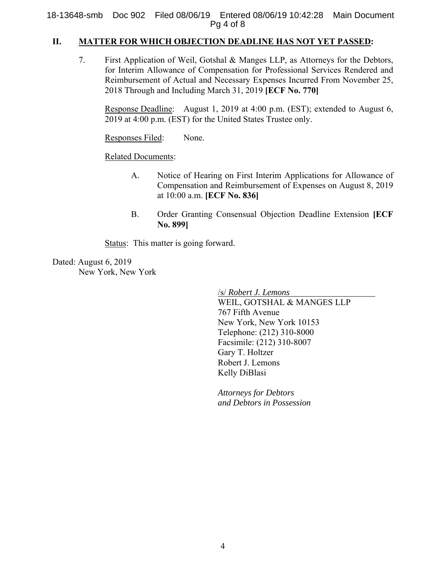18-13648-smb Doc 902 Filed 08/06/19 Entered 08/06/19 10:42:28 Main Document Pg 4 of 8

# **II. MATTER FOR WHICH OBJECTION DEADLINE HAS NOT YET PASSED:**

7. First Application of Weil, Gotshal & Manges LLP, as Attorneys for the Debtors, for Interim Allowance of Compensation for Professional Services Rendered and Reimbursement of Actual and Necessary Expenses Incurred From November 25, 2018 Through and Including March 31, 2019 **[ECF No. 770]**

 Response Deadline: August 1, 2019 at 4:00 p.m. (EST); extended to August 6, 2019 at 4:00 p.m. (EST) for the United States Trustee only.

Responses Filed: None.

Related Documents:

- A. Notice of Hearing on First Interim Applications for Allowance of Compensation and Reimbursement of Expenses on August 8, 2019 at 10:00 a.m. **[ECF No. 836]**
- B. Order Granting Consensual Objection Deadline Extension **[ECF No. 899]**

Status: This matter is going forward.

Dated: August 6, 2019 New York, New York

/s/ *Robert J. Lemons*

WEIL, GOTSHAL & MANGES LLP 767 Fifth Avenue New York, New York 10153 Telephone: (212) 310-8000 Facsimile: (212) 310-8007 Gary T. Holtzer Robert J. Lemons Kelly DiBlasi

*Attorneys for Debtors and Debtors in Possession*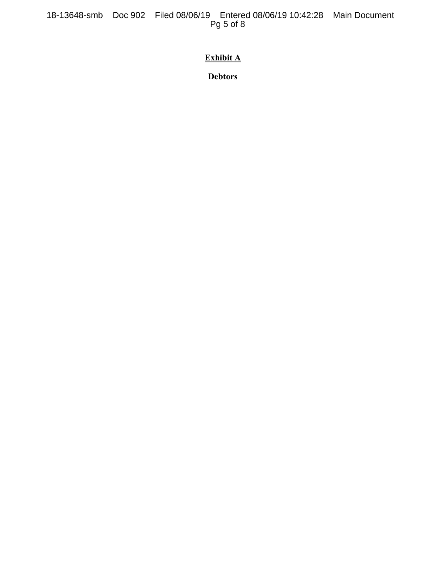18-13648-smb Doc 902 Filed 08/06/19 Entered 08/06/19 10:42:28 Main Document Pg 5 of 8

# **Exhibit A**

**Debtors**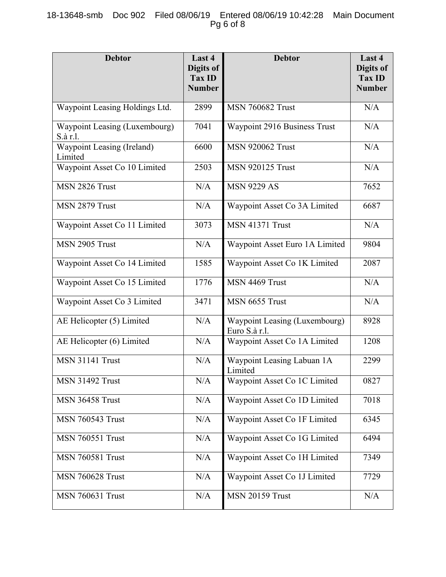# 18-13648-smb Doc 902 Filed 08/06/19 Entered 08/06/19 10:42:28 Main Document Pg 6 of 8

| <b>Debtor</b>                             | Last 4<br>Digits of<br><b>Tax ID</b><br><b>Number</b> | <b>Debtor</b>                                  | Last 4<br>Digits of<br><b>Tax ID</b><br><b>Number</b> |
|-------------------------------------------|-------------------------------------------------------|------------------------------------------------|-------------------------------------------------------|
| Waypoint Leasing Holdings Ltd.            | 2899                                                  | <b>MSN 760682 Trust</b>                        | N/A                                                   |
| Waypoint Leasing (Luxembourg)<br>S.à r.l. | 7041                                                  | Waypoint 2916 Business Trust                   | N/A                                                   |
| Waypoint Leasing (Ireland)<br>Limited     | 6600                                                  | <b>MSN 920062 Trust</b>                        | N/A                                                   |
| Waypoint Asset Co 10 Limited              | 2503                                                  | <b>MSN 920125 Trust</b>                        | N/A                                                   |
| MSN 2826 Trust                            | N/A                                                   | <b>MSN 9229 AS</b>                             | 7652                                                  |
| MSN 2879 Trust                            | N/A                                                   | Waypoint Asset Co 3A Limited                   | 6687                                                  |
| Waypoint Asset Co 11 Limited              | 3073                                                  | <b>MSN 41371 Trust</b>                         | N/A                                                   |
| MSN 2905 Trust                            | N/A                                                   | Waypoint Asset Euro 1A Limited                 | 9804                                                  |
| Waypoint Asset Co 14 Limited              | 1585                                                  | Waypoint Asset Co 1K Limited                   | 2087                                                  |
| Waypoint Asset Co 15 Limited              | 1776                                                  | MSN 4469 Trust                                 | N/A                                                   |
| Waypoint Asset Co 3 Limited               | 3471                                                  | MSN 6655 Trust                                 | N/A                                                   |
| AE Helicopter (5) Limited                 | N/A                                                   | Waypoint Leasing (Luxembourg)<br>Euro S.à r.l. | 8928                                                  |
| AE Helicopter (6) Limited                 | N/A                                                   | Waypoint Asset Co 1A Limited                   | 1208                                                  |
| <b>MSN 31141 Trust</b>                    | N/A                                                   | Waypoint Leasing Labuan 1A<br>Limited          | 2299                                                  |
| <b>MSN 31492 Trust</b>                    | N/A                                                   | Waypoint Asset Co 1C Limited                   | 0827                                                  |
| <b>MSN 36458 Trust</b>                    | N/A                                                   | Waypoint Asset Co 1D Limited                   | 7018                                                  |
| <b>MSN 760543 Trust</b>                   | N/A                                                   | Waypoint Asset Co 1F Limited                   | 6345                                                  |
| <b>MSN 760551 Trust</b>                   | N/A                                                   | Waypoint Asset Co 1G Limited                   | 6494                                                  |
| <b>MSN 760581 Trust</b>                   | N/A                                                   | Waypoint Asset Co 1H Limited                   | 7349                                                  |
| <b>MSN 760628 Trust</b>                   | N/A                                                   | Waypoint Asset Co 1J Limited                   | 7729                                                  |
| <b>MSN 760631 Trust</b>                   | N/A                                                   | <b>MSN 20159 Trust</b>                         | N/A                                                   |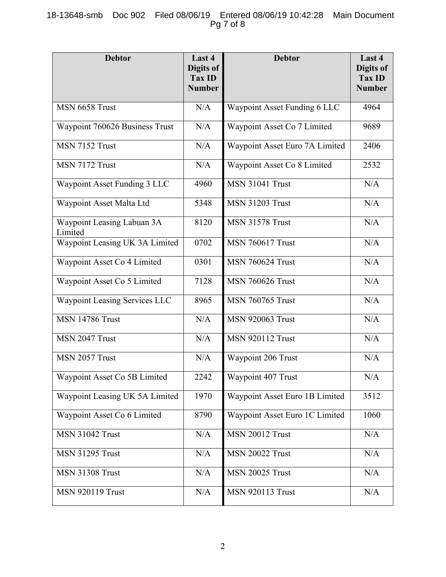# 18-13648-smb Doc 902 Filed 08/06/19 Entered 08/06/19 10:42:28 Main Document Pg 7 of 8

| <b>Debtor</b>                         | Last 4<br>Digits of<br>Tax ID<br><b>Number</b> | <b>Debtor</b>                  | Last 4<br>Digits of<br><b>Tax ID</b><br><b>Number</b> |
|---------------------------------------|------------------------------------------------|--------------------------------|-------------------------------------------------------|
| MSN 6658 Trust                        | N/A                                            | Waypoint Asset Funding 6 LLC   | 4964                                                  |
| Waypoint 760626 Business Trust        | N/A                                            | Waypoint Asset Co 7 Limited    | 9689                                                  |
| MSN 7152 Trust                        | N/A                                            | Waypoint Asset Euro 7A Limited | 2406                                                  |
| MSN 7172 Trust                        | N/A                                            | Waypoint Asset Co 8 Limited    | 2532                                                  |
| Waypoint Asset Funding 3 LLC          | 4960                                           | <b>MSN 31041 Trust</b>         | N/A                                                   |
| Waypoint Asset Malta Ltd              | 5348                                           | <b>MSN 31203 Trust</b>         | N/A                                                   |
| Waypoint Leasing Labuan 3A<br>Limited | 8120                                           | <b>MSN 31578 Trust</b>         | N/A                                                   |
| Waypoint Leasing UK 3A Limited        | 0702                                           | <b>MSN 760617 Trust</b>        | N/A                                                   |
| Waypoint Asset Co 4 Limited           | 0301                                           | <b>MSN 760624 Trust</b>        | N/A                                                   |
| Waypoint Asset Co 5 Limited           | 7128                                           | <b>MSN 760626 Trust</b>        | N/A                                                   |
| Waypoint Leasing Services LLC         | 8965                                           | <b>MSN 760765 Trust</b>        | N/A                                                   |
| <b>MSN 14786 Trust</b>                | N/A                                            | <b>MSN 920063 Trust</b>        | N/A                                                   |
| MSN 2047 Trust                        | N/A                                            | <b>MSN 920112 Trust</b>        | N/A                                                   |
| MSN 2057 Trust                        | N/A                                            | Waypoint 206 Trust             | N/A                                                   |
| Waypoint Asset Co 5B Limited          | 2242                                           | Waypoint 407 Trust             | N/A                                                   |
| Waypoint Leasing UK 5A Limited        | 1970                                           | Waypoint Asset Euro 1B Limited | 3512                                                  |
| Waypoint Asset Co 6 Limited           | 8790                                           | Waypoint Asset Euro 1C Limited | 1060                                                  |
| <b>MSN 31042 Trust</b>                | N/A                                            | <b>MSN 20012 Trust</b>         | N/A                                                   |
| <b>MSN 31295 Trust</b>                | N/A                                            | <b>MSN 20022 Trust</b>         | N/A                                                   |
| <b>MSN 31308 Trust</b>                | N/A                                            | <b>MSN 20025 Trust</b>         | N/A                                                   |
| <b>MSN 920119 Trust</b>               | N/A                                            | <b>MSN 920113 Trust</b>        | N/A                                                   |